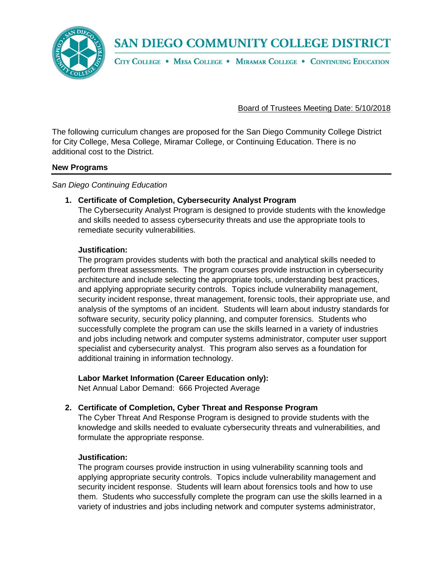**SAN DIEGO COMMUNITY COLLEGE DISTRICT** 



CITY COLLEGE . MESA COLLEGE . MIRAMAR COLLEGE . CONTINUING EDUCATION

Board of Trustees Meeting Date: 5/10/2018

The following curriculum changes are proposed for the San Diego Community College District for City College, Mesa College, Miramar College, or Continuing Education. There is no additional cost to the District.

#### **New Programs**

*San Diego Continuing Education*

## **1. Certificate of Completion, Cybersecurity Analyst Program**

The Cybersecurity Analyst Program is designed to provide students with the knowledge and skills needed to assess cybersecurity threats and use the appropriate tools to remediate security vulnerabilities.

## **Justification:**

The program provides students with both the practical and analytical skills needed to perform threat assessments. The program courses provide instruction in cybersecurity architecture and include selecting the appropriate tools, understanding best practices, and applying appropriate security controls. Topics include vulnerability management, security incident response, threat management, forensic tools, their appropriate use, and analysis of the symptoms of an incident. Students will learn about industry standards for software security, security policy planning, and computer forensics. Students who successfully complete the program can use the skills learned in a variety of industries and jobs including network and computer systems administrator, computer user support specialist and cybersecurity analyst. This program also serves as a foundation for additional training in information technology.

## **Labor Market Information (Career Education only):**

Net Annual Labor Demand: 666 Projected Average

## **2. Certificate of Completion, Cyber Threat and Response Program**

The Cyber Threat And Response Program is designed to provide students with the knowledge and skills needed to evaluate cybersecurity threats and vulnerabilities, and formulate the appropriate response.

#### **Justification:**

The program courses provide instruction in using vulnerability scanning tools and applying appropriate security controls. Topics include vulnerability management and security incident response. Students will learn about forensics tools and how to use them. Students who successfully complete the program can use the skills learned in a variety of industries and jobs including network and computer systems administrator,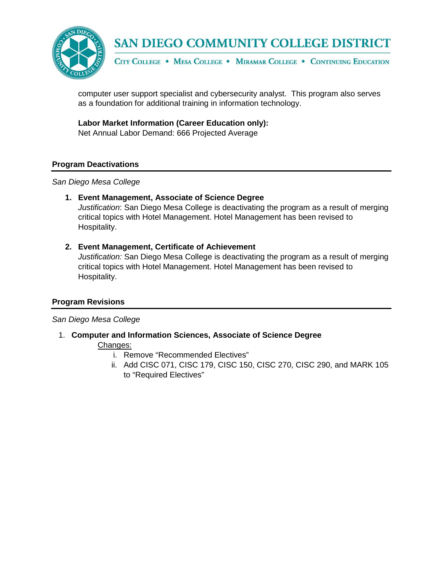

## SAN DIEGO COMMUNITY COLLEGE DISTRICT

CITY COLLEGE . MESA COLLEGE . MIRAMAR COLLEGE . CONTINUING EDUCATION

computer user support specialist and cybersecurity analyst. This program also serves as a foundation for additional training in information technology.

**Labor Market Information (Career Education only):**

Net Annual Labor Demand: 666 Projected Average

#### **Program Deactivations**

#### *San Diego Mesa College*

#### **1. Event Management, Associate of Science Degree**

*Justification*: San Diego Mesa College is deactivating the program as a result of merging critical topics with Hotel Management. Hotel Management has been revised to Hospitality.

#### **2. Event Management, Certificate of Achievement**

*Justification:* San Diego Mesa College is deactivating the program as a result of merging critical topics with Hotel Management. Hotel Management has been revised to Hospitality.

#### **Program Revisions**

#### *San Diego Mesa College*

1. **Computer and Information Sciences, Associate of Science Degree**

#### Changes:

- i. Remove "Recommended Electives"
- ii. Add CISC 071, CISC 179, CISC 150, CISC 270, CISC 290, and MARK 105 to "Required Electives"